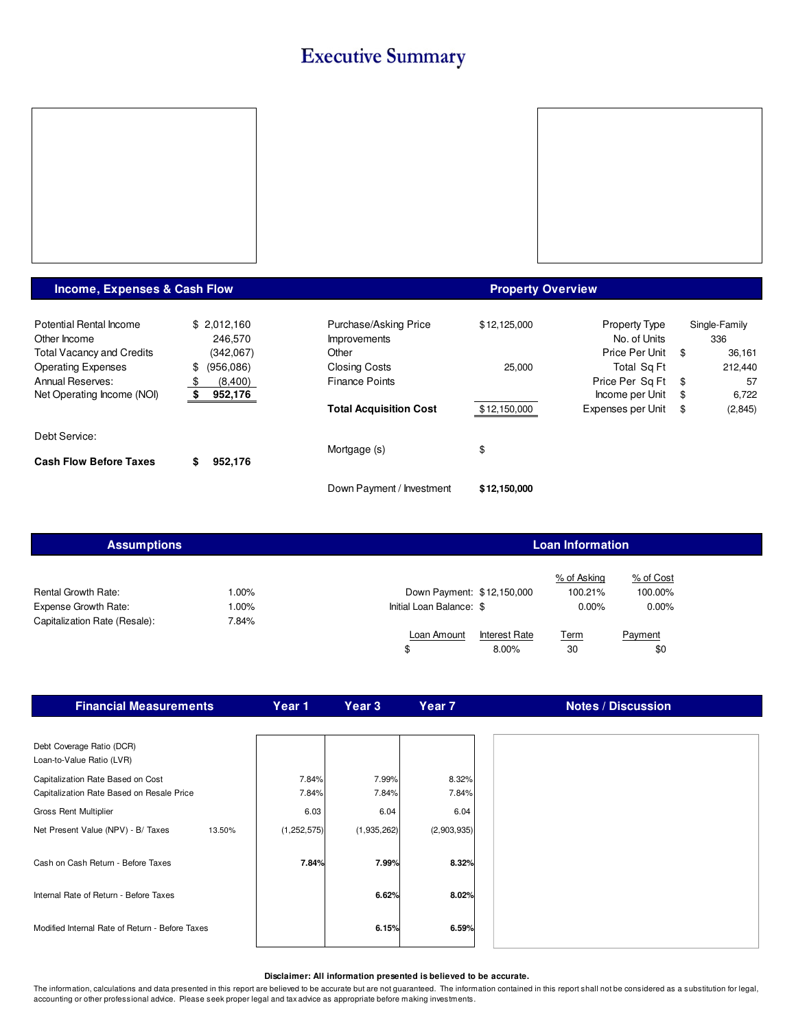## **Executive Summary**



### **Income, Expenses & Cash Flow**

#### **Property Overview**

| Potential Rental Income          | \$2.012.160   | Purchase/Asking Price         | \$12.125.000 | <b>Property Type</b> | Single-Family |
|----------------------------------|---------------|-------------------------------|--------------|----------------------|---------------|
| Other Income                     | 246,570       | <b>Improvements</b>           |              | No. of Units         | 336           |
| <b>Total Vacancy and Credits</b> | (342,067)     | Other                         |              | Price Per Unit \$    | 36,161        |
| <b>Operating Expenses</b>        | \$ (956,086)  | <b>Closing Costs</b>          | 25,000       | Total Sq Ft          | 212.440       |
| Annual Reserves:                 | (8,400)<br>-S | <b>Finance Points</b>         |              | Price Per Sq Ft \$   | 57            |
| Net Operating Income (NOI)       | 952,176       |                               |              | Income per Unit \$   | 6,722         |
|                                  |               | <b>Total Acquisition Cost</b> | \$12,150,000 | Expenses per Unit \$ | (2,845)       |
| Debt Service:                    |               |                               |              |                      |               |
| <b>Cash Flow Before Taxes</b>    | 952,176<br>S  | Mortgage (s)                  | \$           |                      |               |
|                                  |               | Down Payment / Investment     | \$12,150,000 |                      |               |

| <b>Assumptions</b>                                                                         |                             | <b>Loan Information</b>                                |                                    |                                  |  |  |  |  |  |
|--------------------------------------------------------------------------------------------|-----------------------------|--------------------------------------------------------|------------------------------------|----------------------------------|--|--|--|--|--|
| <b>Rental Growth Rate:</b><br><b>Expense Growth Rate:</b><br>Capitalization Rate (Resale): | $.00\%$<br>$.00\%$<br>7.84% | Down Payment: \$12,150,000<br>Initial Loan Balance: \$ | % of Asking<br>100.21%<br>$0.00\%$ | % of Cost<br>100.00%<br>$0.00\%$ |  |  |  |  |  |
|                                                                                            |                             | Loan Amount<br><b>Interest Rate</b>                    | <u>Term</u>                        | Payment                          |  |  |  |  |  |
|                                                                                            |                             | \$<br>8.00%                                            | 30                                 | \$0                              |  |  |  |  |  |

| <b>Financial Measurements</b>                                                  | Year 1         | Year <sub>3</sub> | Year <sub>7</sub> | <b>Notes / Discussion</b> |
|--------------------------------------------------------------------------------|----------------|-------------------|-------------------|---------------------------|
|                                                                                |                |                   |                   |                           |
| Debt Coverage Ratio (DCR)<br>Loan-to-Value Ratio (LVR)                         |                |                   |                   |                           |
| Capitalization Rate Based on Cost<br>Capitalization Rate Based on Resale Price | 7.84%<br>7.84% | 7.99%<br>7.84%    | 8.32%<br>7.84%    |                           |
| <b>Gross Rent Multiplier</b>                                                   | 6.03           | 6.04              | 6.04              |                           |
| Net Present Value (NPV) - B/ Taxes<br>13.50%                                   | (1, 252, 575)  | (1,935,262)       | (2,903,935)       |                           |
| Cash on Cash Return - Before Taxes                                             | 7.84%          | 7.99%             | 8.32%             |                           |
| Internal Rate of Return - Before Taxes                                         |                | 6.62%             | 8.02%             |                           |
| Modified Internal Rate of Return - Before Taxes                                |                | 6.15%             | 6.59%             |                           |

#### **Disclaimer: All information presented is believed to be accurate.**

The information, calculations and data presented in this report are believed to be accurate but are not guaranteed. The information contained in this report shall not be considered as a substitution for legal, accounting or other professional advice. Please seek proper legal and tax advice as appropriate before making investments.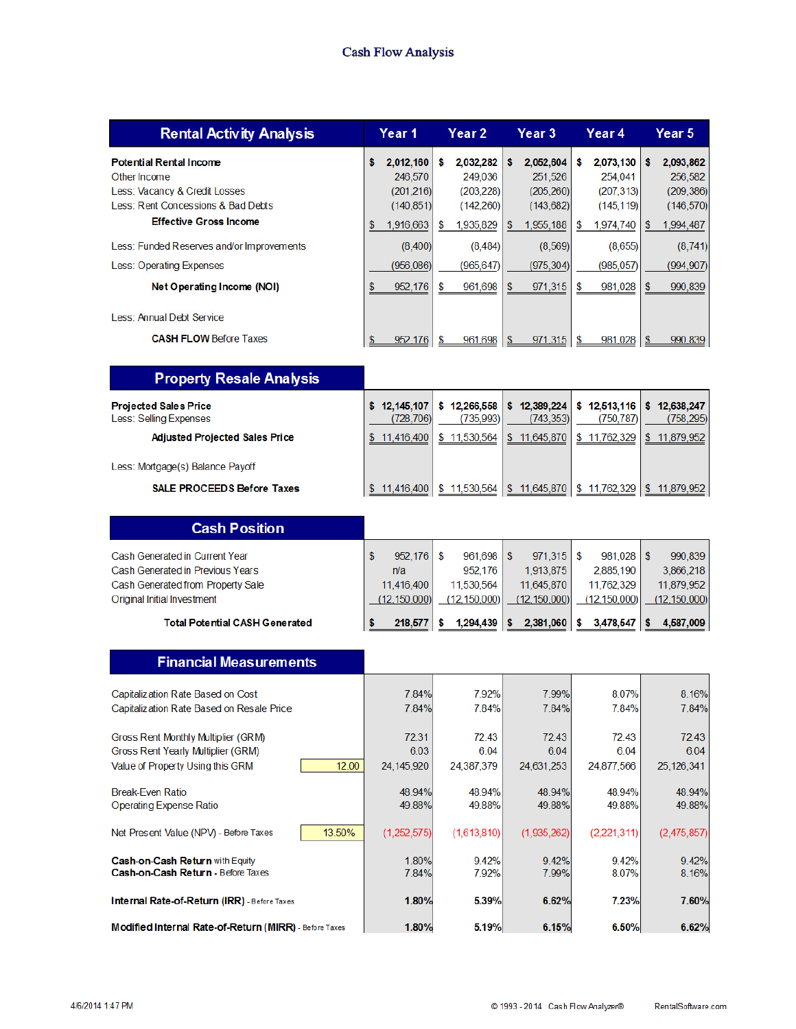#### **Cash Flow Analysis**

| <b>Rental Activity Analysis</b>                                                                                       | Year 1                                                 | Year 2                                                 | Year 3                                                 | Year 4                                                 | Year 5                                                 |
|-----------------------------------------------------------------------------------------------------------------------|--------------------------------------------------------|--------------------------------------------------------|--------------------------------------------------------|--------------------------------------------------------|--------------------------------------------------------|
| <b>Potential Rental Income</b><br>Other Income<br>Less: Vacancy & Credit Losses<br>Less: Rent Concessions & Bad Debts | \$<br>2,012,160<br>246,570<br>(201, 216)<br>(140, 851) | \$<br>2,032,282<br>249,036<br>(203, 228)<br>(142, 260) | \$<br>2,052,604<br>251,526<br>(205, 260)<br>(143, 682) | \$<br>2,073,130<br>254,041<br>(207, 313)<br>(145, 119) | 2,093,862<br>\$<br>256,582<br>(209, 386)<br>(146, 570) |
| <b>Effective Gross Income</b>                                                                                         | 1,916,663<br>\$                                        | 1,935,829<br>S                                         | 1,955,188<br>\$.                                       | 1,974,740<br>S                                         | 1,994,487<br>\$                                        |
| Less: Funded Reserves and/or Improvements                                                                             | (8,400)                                                | (8, 484)                                               | (8,569)                                                | (8,655)                                                | (8,741)                                                |
| Less: Operating Expenses                                                                                              | (956,086)                                              | (965, 647)                                             | (975, 304)                                             | (985, 057)                                             | (994, 907)                                             |
| Net Operating Income (NOI)                                                                                            | \$<br>952,176                                          | \$<br>961,698                                          | \$<br>971.315                                          | 981,028<br>\$                                          | 990,839<br>\$                                          |
| Less: Annual Debt Service                                                                                             |                                                        |                                                        |                                                        |                                                        |                                                        |
| <b>CASH FLOW Before Taxes</b>                                                                                         | 952,176<br>\$                                          | 961,698<br>S                                           | 971,315<br>\$                                          | \$<br>981,028                                          | 990,839<br>\$                                          |
|                                                                                                                       |                                                        |                                                        |                                                        |                                                        |                                                        |
| <b>Property Resale Analysis</b>                                                                                       |                                                        |                                                        |                                                        |                                                        |                                                        |
| <b>Projected Sales Price</b><br>Less: Selling Expenses                                                                | \$12,145,107<br>(728, 706)                             | \$12,266,558<br>(735,993)                              | \$12,389,224<br>(743, 353)                             | \$12.513.116<br>(750, 787)                             | \$12,638,247<br>(758, 295)                             |
| <b>Adjusted Projected Sales Price</b>                                                                                 | \$11,416,400                                           | \$11,530,564                                           | \$11,645,870                                           | \$11,762,329                                           | \$11,879,952                                           |
| Less: Mortgage(s) Balance Payoff                                                                                      |                                                        |                                                        |                                                        |                                                        |                                                        |
| <b>SALE PROCEEDS Before Taxes</b>                                                                                     | \$11,416,400                                           | \$11,530,564                                           | \$11,645,870                                           | \$11,762,329                                           | \$11,879,952                                           |
|                                                                                                                       |                                                        |                                                        |                                                        |                                                        |                                                        |
| <b>Cash Position</b>                                                                                                  |                                                        |                                                        |                                                        |                                                        |                                                        |
| Cash Generated in Current Year                                                                                        | \$<br>952,176                                          | \$<br>961,698                                          | $\mathfrak{s}$<br>971,315                              | \$<br>981,028                                          | \$<br>990,839                                          |
| Cash Generated in Previous Years                                                                                      | n/a                                                    | 952,176                                                | 1,913,875                                              | 2,885,190                                              | 3,866,218                                              |
| Cash Generated from Property Sale<br><b>Original Initial Investment</b>                                               | 11,416,400<br>(12, 150, 000)                           | 11,530,564<br>(12, 150, 000)                           | 11,645,870<br>(12, 150, 000)                           | 11,762,329<br>(12, 150, 000)                           | 11,879,952<br>(12, 150, 000)                           |
| <b>Total Potential CASH Generated</b>                                                                                 | 218,577<br>S                                           | 1,294,439<br>s                                         | 2,381,060<br>s                                         | 3,478,547<br>\$                                        | 4,587,009<br>\$                                        |
|                                                                                                                       |                                                        |                                                        |                                                        |                                                        |                                                        |
| <b>Financial Measurements</b>                                                                                         |                                                        |                                                        |                                                        |                                                        |                                                        |
| Capitalization Rate Based on Cost                                                                                     | 7.84%                                                  | 7.92%                                                  | 7.99%                                                  | 8.07%                                                  | 8.16%                                                  |
| Capitalization Rate Based on Resale Price                                                                             | 7.84%                                                  | 7.84%                                                  | 7.84%                                                  | 7.84%                                                  | 7.84%                                                  |
| Gross Rent Monthly Multiplier (GRM)                                                                                   | 72.31                                                  | 72.43                                                  | 72.43                                                  | 72.43                                                  | 72.43                                                  |
| Gross Rent Yearly Multiplier (GRM)                                                                                    | 6.03                                                   | 6.04                                                   | 6.04                                                   | 6.04                                                   | 6.04                                                   |
| Value of Property Using this GRM<br>12.00                                                                             | 24, 145, 920                                           | 24,387,379                                             | 24,631,253                                             | 24,877,566                                             | 25, 126, 341                                           |
| <b>Break-Even Ratio</b>                                                                                               | 48.94%                                                 | 48.94%                                                 | 48.94%                                                 | 48.94%                                                 | 48.94%                                                 |
| <b>Operating Expense Ratio</b>                                                                                        | 49.88%                                                 | 49.88%                                                 | 49.88%                                                 | 49.88%                                                 | 49.88%                                                 |
| 13.50%<br>Net Present Value (NPV) - Before Taxes                                                                      | (1,252,575)                                            | (1,613,810)                                            | (1,935,262)                                            | (2,221,311)                                            | (2,475,857)                                            |
| Cash-on-Cash Return with Equity                                                                                       | 1.80%                                                  | 9.42%                                                  | 9.42%                                                  | 9.42%                                                  | 9.42%                                                  |
| Cash-on-Cash Return - Before Taxes                                                                                    | 7.84%                                                  | 7.92%                                                  | 7.99%                                                  | 8.07%                                                  | 8.16%                                                  |
| <b>Internal Rate-of-Return (IRR)</b> - Before Taxes                                                                   | 1.80%                                                  | 5.39%                                                  | 6.62%                                                  | 7.23%                                                  | 7.60%                                                  |
| Modified Internal Rate-of-Return (MIRR) - Before Taxes                                                                | 1.80%                                                  | 5.19%                                                  | 6.15%                                                  | 6.50%                                                  | 6.62%                                                  |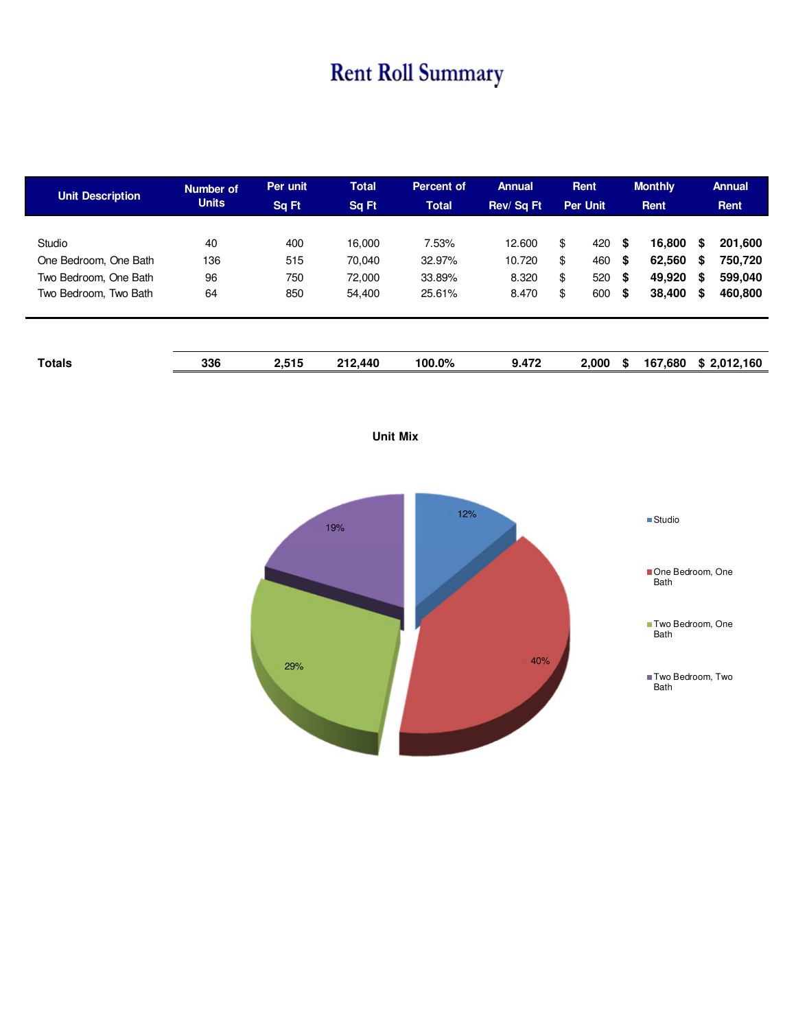## **Rent Roll Summary**

| <b>Unit Description</b>                                                           | Number of<br><b>Units</b> | Per unit<br><b>Sq Ft</b> | <b>Total</b><br>Sq Ft                | <b>Percent of</b><br><b>Total</b>   | <b>Annual</b><br>Rev/Sq Ft         |                      | Rent<br><b>Per Unit</b>  |                      | <b>Monthly</b><br>Rent               |                  | <b>Annual</b><br>Rent                    |
|-----------------------------------------------------------------------------------|---------------------------|--------------------------|--------------------------------------|-------------------------------------|------------------------------------|----------------------|--------------------------|----------------------|--------------------------------------|------------------|------------------------------------------|
| Studio<br>One Bedroom. One Bath<br>Two Bedroom, One Bath<br>Two Bedroom, Two Bath | 40<br>136<br>96<br>64     | 400<br>515<br>750<br>850 | 16,000<br>70.040<br>72,000<br>54,400 | 7.53%<br>32.97%<br>33.89%<br>25.61% | 12.600<br>10.720<br>8.320<br>8.470 | \$<br>\$<br>\$<br>\$ | 420<br>460<br>520<br>600 | \$<br>\$<br>\$<br>\$ | 16,800<br>62,560<br>49,920<br>38,400 | S<br>S<br>S<br>S | 201,600<br>750,720<br>599,040<br>460,800 |
| <b>Totals</b>                                                                     | 336                       | 2,515                    | 212,440                              | 100.0%                              | 9.472                              |                      | 2.000                    | \$                   | 167,680                              |                  | \$2,012,160                              |



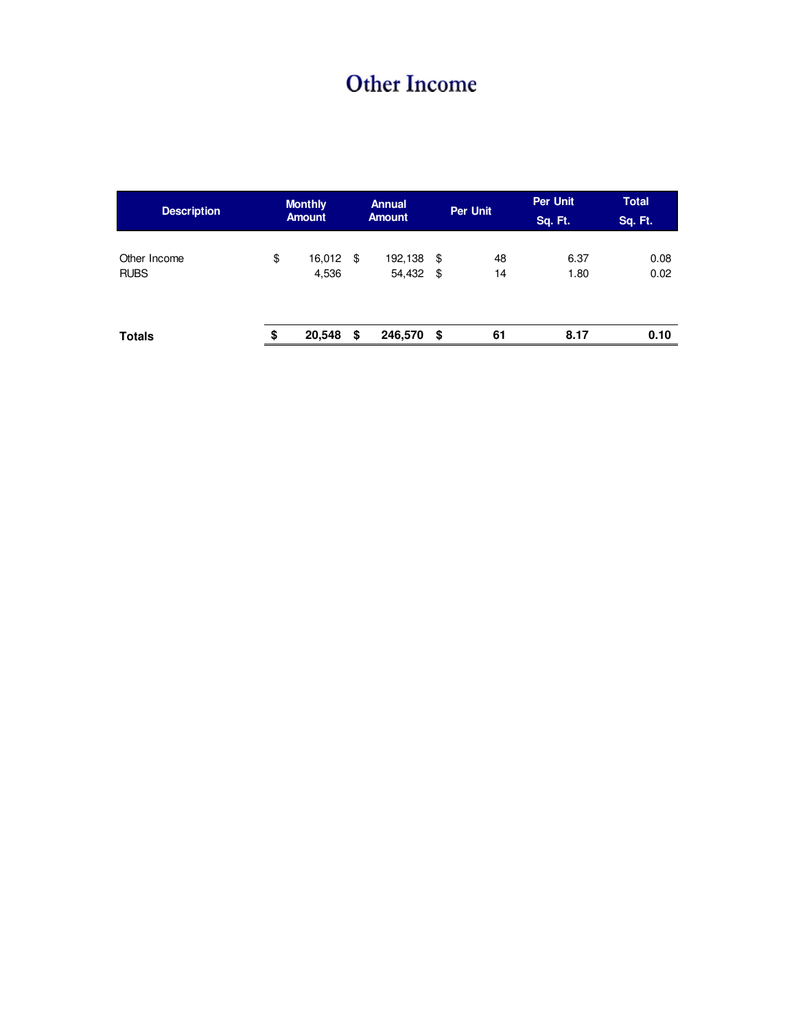## **Other Income**

| <b>Description</b>          | <b>Monthly</b><br><b>Amount</b> |     | <b>Annual</b><br><b>Amount</b> |           | Per Unit | Per Unit<br>Sq. Ft. | <b>Total</b><br>Sq. Ft. |
|-----------------------------|---------------------------------|-----|--------------------------------|-----------|----------|---------------------|-------------------------|
| Other Income<br><b>RUBS</b> | \$<br>16,012<br>4,536           | -\$ | 192,138<br>54,432              | \$<br>-\$ | 48<br>14 | 6.37<br>1.80        | 0.08<br>0.02            |
| <b>Totals</b>               | \$<br>20,548                    | \$  | 246,570                        | \$        | 61       | 8.17                | 0.10                    |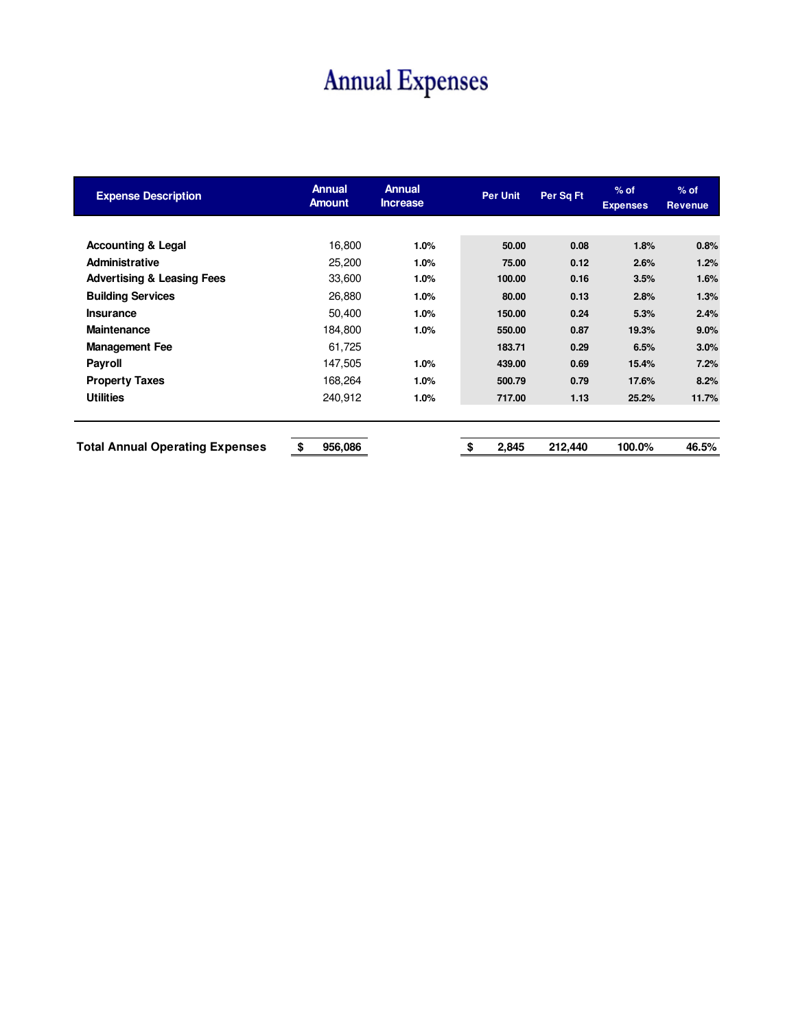# **Annual Expenses**

| <b>Expense Description</b>             | <b>Annual</b><br><b>Amount</b> | <b>Annual</b><br><b>Increase</b> | <b>Per Unit</b> | Per Sq Ft | $%$ of<br><b>Expenses</b> | $%$ of<br><b>Revenue</b> |  |
|----------------------------------------|--------------------------------|----------------------------------|-----------------|-----------|---------------------------|--------------------------|--|
|                                        |                                |                                  |                 |           |                           |                          |  |
| <b>Accounting &amp; Legal</b>          | 16.800                         | 1.0%                             | 50.00           | 0.08      | 1.8%                      | 0.8%                     |  |
| <b>Administrative</b>                  | 25,200                         | 1.0%                             | 75.00           | 0.12      | 2.6%                      | 1.2%                     |  |
| <b>Advertising &amp; Leasing Fees</b>  | 33,600                         | 1.0%                             | 100.00          | 0.16      | 3.5%                      | 1.6%                     |  |
| <b>Building Services</b>               | 26,880                         | 1.0%                             | 80.00           | 0.13      | 2.8%                      | 1.3%                     |  |
| <b>Insurance</b>                       | 50,400                         | 1.0%                             | 150.00          | 0.24      | 5.3%                      | 2.4%                     |  |
| <b>Maintenance</b>                     | 184,800                        | 1.0%                             | 550.00          | 0.87      | 19.3%                     | 9.0%                     |  |
| <b>Management Fee</b>                  | 61,725                         |                                  | 183.71          | 0.29      | 6.5%                      | 3.0%                     |  |
| <b>Payroll</b>                         | 147,505                        | 1.0%                             | 439.00          | 0.69      | 15.4%                     | 7.2%                     |  |
| <b>Property Taxes</b>                  | 168,264                        | 1.0%                             | 500.79          | 0.79      | 17.6%                     | 8.2%                     |  |
| <b>Utilities</b>                       | 240,912                        | 1.0%                             | 717.00          | 1.13      | 25.2%                     | 11.7%                    |  |
| <b>Total Annual Operating Expenses</b> | \$<br>956,086                  |                                  | \$<br>2,845     | 212,440   | 100.0%                    | 46.5%                    |  |